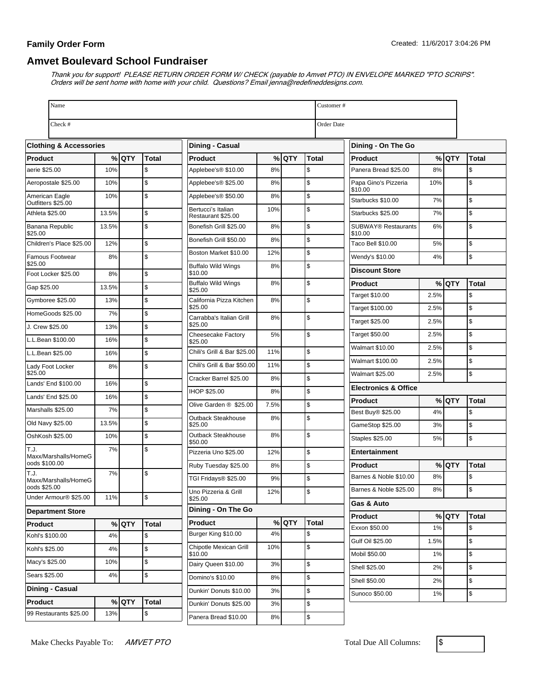## **Family Order Form**

## **Amvet Boulevard School Fundraiser**

Thank you for support! PLEASE RETURN ORDER FORM W/ CHECK (payable to Amvet PTO) IN ENVELOPE MARKED "PTO SCRIPS". Orders will be sent home with home with your child. Questions? Email jenna@redefineddesigns.com.

| Name                                  |                 |         |                    |                                                    |           |         | Customer#    |                                       |       |         |              |  |  |
|---------------------------------------|-----------------|---------|--------------------|----------------------------------------------------|-----------|---------|--------------|---------------------------------------|-------|---------|--------------|--|--|
| Check #                               |                 |         |                    |                                                    |           |         |              | Order Date                            |       |         |              |  |  |
| <b>Clothing &amp; Accessories</b>     |                 |         |                    | <b>Dining - Casual</b>                             |           |         |              | Dining - On The Go                    |       |         |              |  |  |
| <b>Product</b>                        |                 | % QTY   | <b>Total</b>       | <b>Product</b>                                     |           | % QTY   | <b>Total</b> | <b>Product</b>                        |       | $%$ QTY | <b>Total</b> |  |  |
| aerie \$25.00                         | 10%             |         | \$                 | Applebee's® \$10.00                                | 8%        |         | \$           | Panera Bread \$25.00                  | 8%    |         | \$           |  |  |
| Aeropostale \$25.00                   | 10%             |         | \$                 | Applebee's <sup>®</sup> \$25.00                    | 8%        |         | \$           | Papa Gino's Pizzeria<br>\$10.00       | 10%   |         | \$           |  |  |
| American Eagle<br>Outfitters \$25.00  | 10%             |         | \$                 | Applebee's® \$50.00                                | 8%        |         | \$           | Starbucks \$10.00                     | 7%    |         | \$           |  |  |
| Athleta \$25.00                       | 13.5%           |         | \$                 | Bertucci's Italian<br>Restaurant \$25.00           | 10%       |         | \$           | Starbucks \$25.00                     | 7%    |         | \$           |  |  |
| Banana Republic<br>\$25.00            | 13.5%           |         | \$                 | Bonefish Grill \$25.00                             | 8%        |         | \$           | <b>SUBWAY® Restaurants</b><br>\$10.00 | 6%    |         | \$           |  |  |
| Children's Place \$25.00              | 12%             |         | \$                 | Bonefish Grill \$50.00                             | 8%        |         | \$           | Taco Bell \$10.00                     | 5%    |         | \$           |  |  |
| Famous Footwear<br>\$25.00            | 8%              |         | \$                 | Boston Market \$10.00<br><b>Buffalo Wild Wings</b> | 12%<br>8% |         | \$<br>\$     | Wendy's \$10.00                       | 4%    |         | \$           |  |  |
| Foot Locker \$25.00                   | 8%              |         | \$                 | \$10.00                                            |           |         |              | <b>Discount Store</b>                 |       |         |              |  |  |
| Gap \$25.00                           | 13.5%           |         | \$                 | <b>Buffalo Wild Wings</b><br>\$25.00               | 8%        |         | \$           | <b>Product</b>                        |       | %lQTY   | <b>Total</b> |  |  |
| Gymboree \$25.00                      | 13%             |         | \$                 | California Pizza Kitchen                           | 8%        |         | \$           | Target \$10.00                        | 2.5%  |         | \$           |  |  |
| HomeGoods \$25.00                     | 7%              |         | \$                 | \$25.00                                            |           |         |              | Target \$100.00                       | 2.5%  |         | \$           |  |  |
| J. Crew \$25.00                       | 13%             |         | \$                 | Carrabba's Italian Grill<br>\$25.00                | 8%        |         | \$           | Target \$25.00                        | 2.5%  |         | \$           |  |  |
| L.L.Bean \$100.00                     | 16%             |         | \$                 | <b>Cheesecake Factory</b><br>\$25.00               | 5%        |         | \$           | Target \$50.00                        | 2.5%  |         | \$           |  |  |
| L.L.Bean \$25.00                      | 16%             |         | \$                 | Chili's Grill & Bar \$25.00                        | 11%       |         | \$           | Walmart \$10.00                       | 2.5%  |         | \$           |  |  |
| Lady Foot Locker                      | 8%              |         | \$                 | Chili's Grill & Bar \$50.00                        | 11%       |         | \$           | Walmart \$100.00                      | 2.5%  |         | \$           |  |  |
| \$25.00<br>Lands' End \$100.00        | 16%             |         | \$                 | Cracker Barrel \$25.00                             | 8%        |         | \$           | <b>Walmart \$25.00</b>                | 2.5%  |         | \$           |  |  |
|                                       |                 |         | \$                 | <b>IHOP \$25.00</b>                                | 8%        |         | \$           | <b>Electronics &amp; Office</b>       |       |         |              |  |  |
| Lands' End \$25.00                    | 16%             |         |                    | Olive Garden ® \$25.00                             | 7.5%      |         | \$           | <b>Product</b>                        |       | %lQTY   | <b>Total</b> |  |  |
| Marshalls \$25.00                     | 7%              |         | \$                 | Outback Steakhouse                                 | 8%        |         | \$           | Best Buy <sup>®</sup> \$25.00         | 4%    |         | \$           |  |  |
| Old Navy \$25.00                      | 13.5%           |         | \$                 | \$25.00                                            |           |         |              | GameStop \$25.00                      | 3%    |         | \$           |  |  |
| OshKosh \$25.00                       | 10%             |         | \$                 | Outback Steakhouse<br>\$50.00                      | 8%        |         | \$           | Staples \$25.00                       | 5%    |         | \$           |  |  |
| T.J.<br>Maxx/Marshalls/HomeG          | 7%              |         | \$                 | Pizzeria Uno \$25.00                               | 12%       |         | \$           | Entertainment                         |       |         |              |  |  |
| oods \$100.00                         |                 |         |                    | Ruby Tuesday \$25.00                               | 8%        |         | \$           | <b>Product</b>                        |       | % QTY   | <b>Total</b> |  |  |
| T.J.<br>Maxx/Marshalls/HomeG          | 7%              |         | \$                 | TGI Fridays® \$25.00                               | 9%        |         | \$           | Barnes & Noble \$10.00                | 8%    |         | \$           |  |  |
| oods \$25.00<br>Under Armour® \$25.00 | 11%             |         | \$                 | Uno Pizzeria & Grill<br>\$25.00                    | 12%       |         | \$           | Barnes & Noble \$25.00                | $8\%$ |         |              |  |  |
| <b>Department Store</b>               |                 |         | Dining - On The Go |                                                    |           |         | Gas & Auto   |                                       |       |         |              |  |  |
| <b>Product</b>                        |                 | $%$ QTY | <b>Total</b>       | Product                                            |           | $%$ QTY | <b>Total</b> | <b>Product</b>                        |       | $%$ QTY | <b>Total</b> |  |  |
| Kohl's \$100.00                       | 4%              |         | \$                 | Burger King \$10.00                                | 4%        |         | \$           | Exxon \$50.00                         | 1%    |         | \$           |  |  |
| Kohl's \$25.00                        | 4%              |         | \$                 | Chipotle Mexican Grill                             | 10%       |         | \$           | Gulf Oil \$25.00                      | 1.5%  |         | \$           |  |  |
|                                       |                 |         |                    | \$10.00                                            |           |         |              | Mobil \$50.00                         | 1%    |         | \$           |  |  |
| Macy's \$25.00                        | 10%             |         | \$                 | Dairy Queen \$10.00                                | 3%        |         | \$           | Shell \$25.00                         | 2%    |         | \$           |  |  |
| Sears \$25.00                         | 4%              |         | \$                 | Domino's \$10.00                                   | 8%        |         | \$           | Shell \$50.00                         | 2%    |         | \$           |  |  |
|                                       | Dining - Casual |         |                    | Dunkin' Donuts \$10.00                             | 3%        |         | \$           | Sunoco \$50.00                        | 1%    |         | \$           |  |  |
| Product                               |                 | $%$ QTY | <b>Total</b>       | Dunkin' Donuts \$25.00                             | 3%        |         | \$           |                                       |       |         |              |  |  |
| 99 Restaurants \$25.00                | 13%             |         | \$                 | Panera Bread \$10.00                               | 8%        |         | \$           |                                       |       |         |              |  |  |